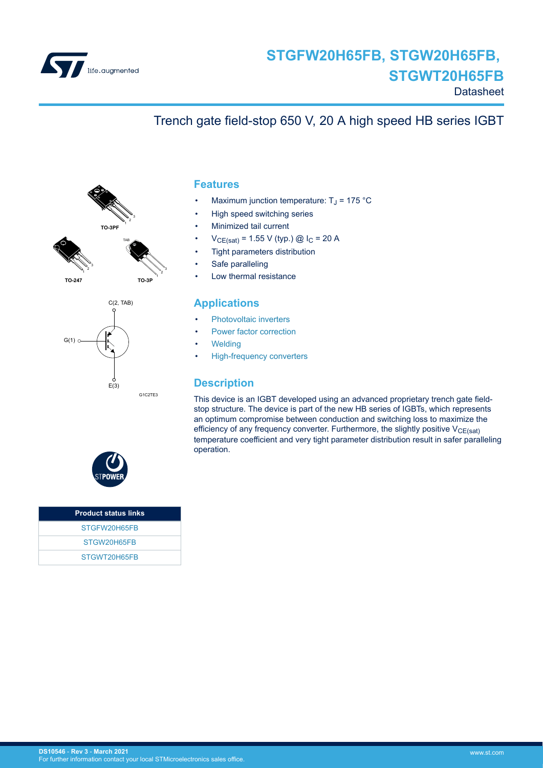

# Trench gate field-stop 650 V, 20 A high speed HB series IGBT



3

**TO-247**



### **Features**

- Maximum junction temperature:  $T_J$  = 175 °C
- High speed switching series
- Minimized tail current
- $V_{CE(sat)} = 1.55 V$  (typ.) @  $I_C = 20 A$
- Tight parameters distribution
- Safe paralleling
- Low thermal resistance

#### **Applications**

- [Photovoltaic inverters](https://www.st.com/en/applications/energy-generation-and-distribution/solar-inverters-string-and-central.html?ecmp=tt9471_gl_link_feb2019&rt=ds&id=DS10546)
- [Power factor correction](https://www.st.com/en/applications/power-supplies-and-converters/pfc-converter-single-phase-input.html?ecmp=tt9471_gl_link_feb2019&rt=ds&id=DS10546)
- **[Welding](https://www.st.com/en/applications/industrial-power-and-tools/welding.html?ecmp=tt9471_gl_link_feb2019&rt=ds&id=DS10546)**
- [High-frequency converters](https://www.st.com/en/applications/power-supplies-and-converters/ac-dc-converters.html?ecmp=tt9471_gl_link_feb2019&rt=ds&id=DS10546)

#### **Description**

This device is an IGBT developed using an advanced proprietary trench gate fieldstop structure. The device is part of the new HB series of IGBTs, which represents an optimum compromise between conduction and switching loss to maximize the efficiency of any frequency converter. Furthermore, the slightly positive  $V_{CE(sat)}$ temperature coefficient and very tight parameter distribution result in safer paralleling operation.



| <b>Product status links</b> |
|-----------------------------|
| STGFW20H65FB                |
| STGW20H65FB                 |
| STGWT20H65FB                |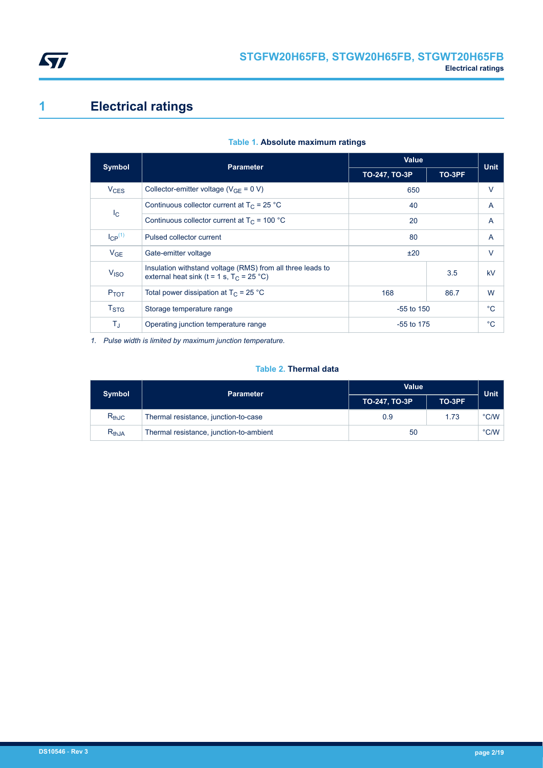<span id="page-1-0"></span>

# **1 Electrical ratings**

| <b>Symbol</b>          | <b>Parameter</b>                                                                                          | Value         |        | <b>Unit</b> |
|------------------------|-----------------------------------------------------------------------------------------------------------|---------------|--------|-------------|
|                        |                                                                                                           | TO-247, TO-3P | TO-3PF |             |
| <b>V<sub>CES</sub></b> | Collector-emitter voltage ( $V_{GF} = 0 V$ )                                                              | 650           |        | $\vee$      |
|                        | Continuous collector current at $T_C = 25 °C$<br>40                                                       |               |        | A           |
| $I_{\rm C}$            | Continuous collector current at $T_c$ = 100 °C<br>20                                                      |               |        | A           |
| $I_{CP}^{(1)}$         | 80<br>Pulsed collector current                                                                            |               |        | A           |
| $V_{GE}$               | Gate-emitter voltage                                                                                      | ±20           |        | V           |
| V <sub>ISO</sub>       | Insulation withstand voltage (RMS) from all three leads to<br>external heat sink (t = 1 s, $T_C$ = 25 °C) |               | 3.5    | kV          |
| $P_{TOT}$              | Total power dissipation at $T_C = 25 °C$<br>168                                                           |               | 86.7   | W           |
| T <sub>STG</sub>       | Storage temperature range                                                                                 | $-55$ to 150  |        | $^{\circ}C$ |
| $T_{\sf J}$            | Operating junction temperature range                                                                      | $-55$ to 175  |        | $^{\circ}C$ |

#### **Table 1. Absolute maximum ratings**

*1. Pulse width is limited by maximum junction temperature.*

#### **Table 2. Thermal data**

| <b>Symbol</b> | <b>Parameter</b>                        | <b>Value</b>  | <b>Unit</b> |                |
|---------------|-----------------------------------------|---------------|-------------|----------------|
|               |                                         | TO-247, TO-3P | TO-3PF      |                |
| $R_{thJC}$    | Thermal resistance, junction-to-case    | 0.9           | 1.73        | $^{\circ}$ C/W |
| $R_{thJA}$    | Thermal resistance, junction-to-ambient | 50            |             | $\degree$ C/W  |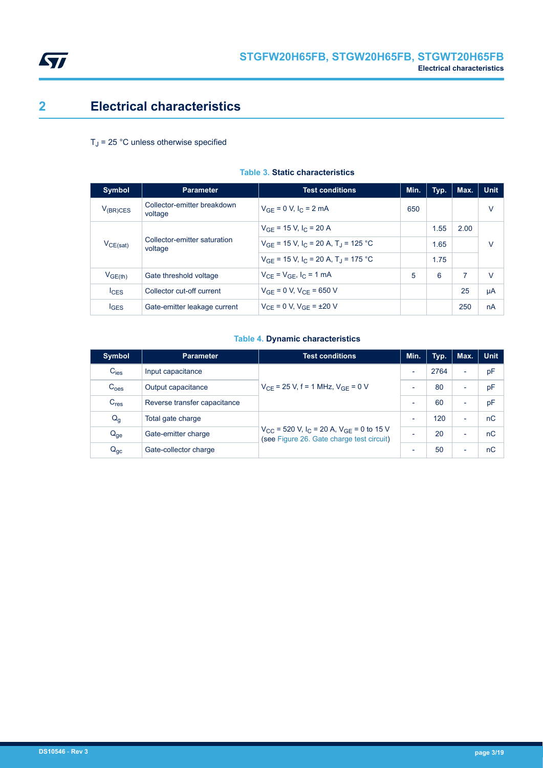<span id="page-2-0"></span>

### **2 Electrical characteristics**

### $T_J$  = 25 °C unless otherwise specified

| <b>Symbol</b>                                            | <b>Parameter</b>                                                | <b>Test conditions</b>                 | Min. | Typ. | Max. | <b>Unit</b> |
|----------------------------------------------------------|-----------------------------------------------------------------|----------------------------------------|------|------|------|-------------|
| $V_{(BR)CES}$                                            | Collector-emitter breakdown<br>voltage                          | $V_{GF} = 0 V, I_C = 2 mA$             | 650  |      |      | v           |
|                                                          |                                                                 | $V_{GF}$ = 15 V, I <sub>C</sub> = 20 A |      | 1.55 | 2.00 |             |
| Collector-emitter saturation<br>$V_{CE(sat)}$<br>voltage | $V_{GF}$ = 15 V, I <sub>C</sub> = 20 A, T <sub>J</sub> = 125 °C |                                        | 1.65 |      | V    |             |
|                                                          | $V_{GF}$ = 15 V, I <sub>C</sub> = 20 A, T <sub>J</sub> = 175 °C |                                        | 1.75 |      |      |             |
| V <sub>GE(th)</sub>                                      | Gate threshold voltage                                          | $V_{CF} = V_{GF}$ , $I_C = 1$ mA       | 5    | 6    | 7    | v           |
| $I_{CES}$                                                | Collector cut-off current                                       | $V_{GF} = 0 V, V_{CF} = 650 V$         |      |      | 25   | μA          |
| $I_{\text{GES}}$                                         | Gate-emitter leakage current                                    | $V_{CF} = 0 V$ , $V_{GF} = \pm 20 V$   |      |      | 250  | nA          |

### **Table 3. Static characteristics**

#### **Table 4. Dynamic characteristics**

| <b>Symbol</b>    | <b>Parameter</b>             | <b>Test conditions</b>                                                                                            | Min.                     | Typ. | Max.                     | <b>Unit</b> |
|------------------|------------------------------|-------------------------------------------------------------------------------------------------------------------|--------------------------|------|--------------------------|-------------|
| $C_{\text{ies}}$ | Input capacitance            |                                                                                                                   | $\overline{\phantom{0}}$ | 2764 | -                        | pF          |
| C <sub>oes</sub> | Output capacitance           | $V_{CF}$ = 25 V, f = 1 MHz, $V_{GF}$ = 0 V                                                                        | $\overline{\phantom{0}}$ | 80   | $\overline{\phantom{0}}$ | pF          |
| $C_{res}$        | Reverse transfer capacitance |                                                                                                                   |                          | 60   | $\overline{\phantom{0}}$ | pF          |
| $Q_g$            | Total gate charge            | $V_{CC}$ = 520 V, I <sub>C</sub> = 20 A, V <sub>GE</sub> = 0 to 15 V<br>(see Figure 26. Gate charge test circuit) |                          | 120  | $\overline{\phantom{0}}$ | nC          |
| $Q_{ge}$         | Gate-emitter charge          |                                                                                                                   |                          | 20   | $\overline{\phantom{0}}$ | nC          |
| $Q_{gc}$         | Gate-collector charge        |                                                                                                                   |                          | 50   | $\overline{\phantom{0}}$ | nC          |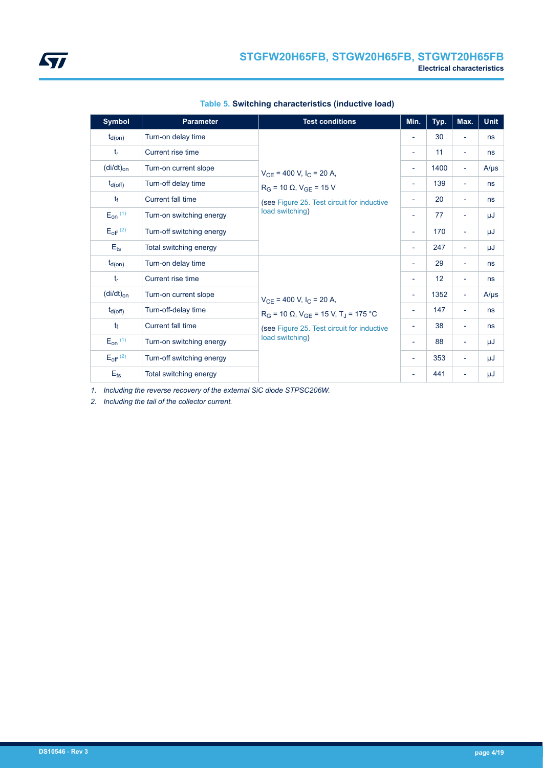| <b>Symbol</b>            | <b>Parameter</b>          | <b>Test conditions</b>                                                                                                          | Min.                     | Typ. | Max.                     | <b>Unit</b> |
|--------------------------|---------------------------|---------------------------------------------------------------------------------------------------------------------------------|--------------------------|------|--------------------------|-------------|
| $t_{d(on)}$              | Turn-on delay time        |                                                                                                                                 | $\overline{\phantom{a}}$ | 30   | $\overline{\phantom{0}}$ | ns          |
| $t_{r}$                  | Current rise time         |                                                                                                                                 | $\overline{\phantom{a}}$ | 11   | $\overline{\phantom{a}}$ | ns          |
| $(di/dt)_{on}$           | Turn-on current slope     | $V_{CE}$ = 400 V, I <sub>C</sub> = 20 A,                                                                                        | $\overline{\phantom{a}}$ | 1400 | $\overline{\phantom{a}}$ | $A/\mu s$   |
| $t_{d(off)}$             | Turn-off delay time       | $R_G$ = 10 $\Omega$ , $V_{GE}$ = 15 V                                                                                           | $\overline{\phantom{a}}$ | 139  | $\overline{\phantom{0}}$ | ns          |
| $t_{\rm f}$              | Current fall time         | (see Figure 25. Test circuit for inductive                                                                                      | $\overline{\phantom{a}}$ | 20   | $\overline{\phantom{a}}$ | ns          |
| $E_{on}$ (1)             | Turn-on switching energy  | load switching)                                                                                                                 | $\overline{\phantom{a}}$ | 77   | ٠                        | μJ          |
| $E_{off}$ <sup>(2)</sup> | Turn-off switching energy |                                                                                                                                 | $\overline{\phantom{a}}$ | 170  | $\overline{\phantom{a}}$ | μJ          |
| $E_{ts}$                 | Total switching energy    |                                                                                                                                 | $\overline{\phantom{a}}$ | 247  | $\overline{\phantom{a}}$ | μJ          |
| $t_{d(on)}$              | Turn-on delay time        |                                                                                                                                 | $\overline{\phantom{a}}$ | 29   | $\overline{\phantom{0}}$ | ns          |
| $t_{r}$                  | Current rise time         |                                                                                                                                 | $\overline{\phantom{a}}$ | 12   | $\overline{\phantom{a}}$ | ns          |
| $(di/dt)_{on}$           | Turn-on current slope     | $V_{CE}$ = 400 V, I <sub>C</sub> = 20 A,                                                                                        | $\overline{\phantom{a}}$ | 1352 | $\overline{\phantom{a}}$ | $A/\mu s$   |
| $t_{d(off)}$             | Turn-off-delay time       | $R_G$ = 10 $\Omega$ , $V_{GE}$ = 15 V, T <sub>J</sub> = 175 °C<br>(see Figure 25. Test circuit for inductive<br>load switching) | $\overline{\phantom{a}}$ | 147  | $\overline{\phantom{a}}$ | ns          |
| $t_{\rm f}$              | Current fall time         |                                                                                                                                 | $\overline{\phantom{a}}$ | 38   | $\overline{\phantom{a}}$ | ns          |
| $E_{on}$ $(1)$           | Turn-on switching energy  |                                                                                                                                 | $\overline{\phantom{a}}$ | 88   | Ξ.                       | μJ          |
| $E_{off}$ <sup>(2)</sup> | Turn-off switching energy |                                                                                                                                 |                          | 353  | $\overline{\phantom{0}}$ | μJ          |
| $E_{\text{ts}}$          | Total switching energy    |                                                                                                                                 | $\overline{\phantom{a}}$ | 441  | $\overline{\phantom{0}}$ | μJ          |

|  | Table 5. Switching characteristics (inductive load) |  |
|--|-----------------------------------------------------|--|
|  |                                                     |  |

*1. Including the reverse recovery of the external SiC diode STPSC206W.*

*2. Including the tail of the collector current.*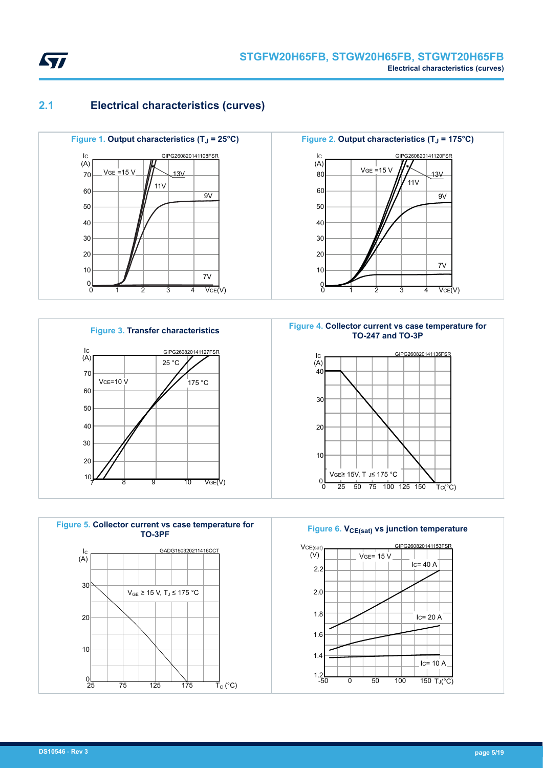<span id="page-4-0"></span>

### **2.1 Electrical characteristics (curves)**







**Figure 2. Output characteristics (TJ = 175°C)** IC 30 20 10  $\begin{smallmatrix}0\\0\end{smallmatrix}$  $2 \qquad 3 \qquad 4 \qquad \text{VCE}(V)$  $(A)$ 1 3 40 50 11V  $VGE = 15 V$ 9V 13V 7V 60 80 GIPG260820141120FSR



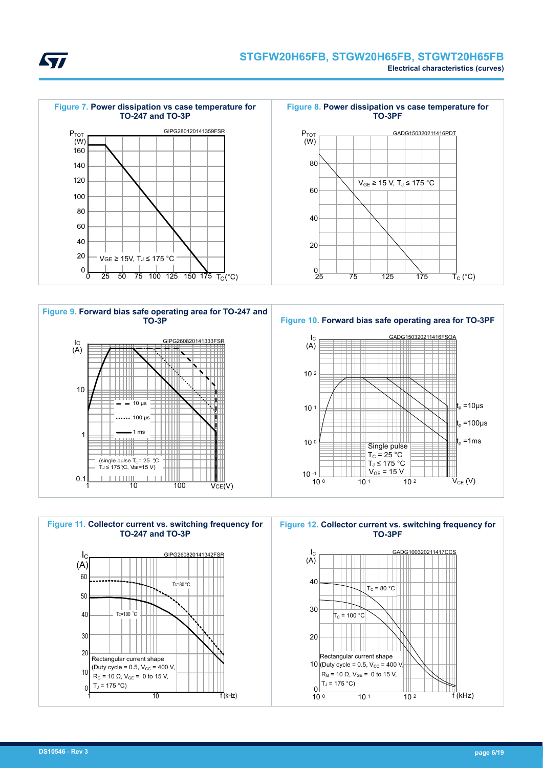<span id="page-5-0"></span>









 $\frac{1}{10^{1}}$  10 2

 $R_G$  = 10 Ω,  $V_{GF}$  = 0 to 15 V,

 $\frac{0}{100}$ 

 $T_J = 175 °C$ 

**Figure 12. Collector current vs. switching frequency for**

 $\overline{f}$ (kHz)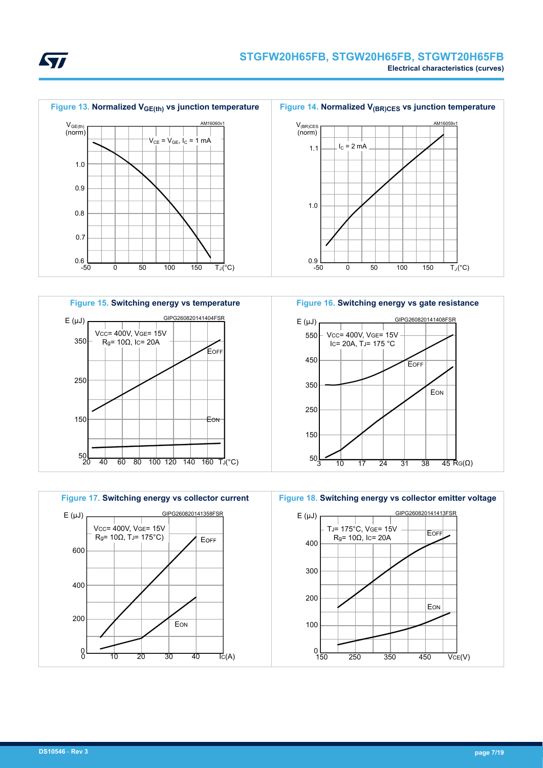









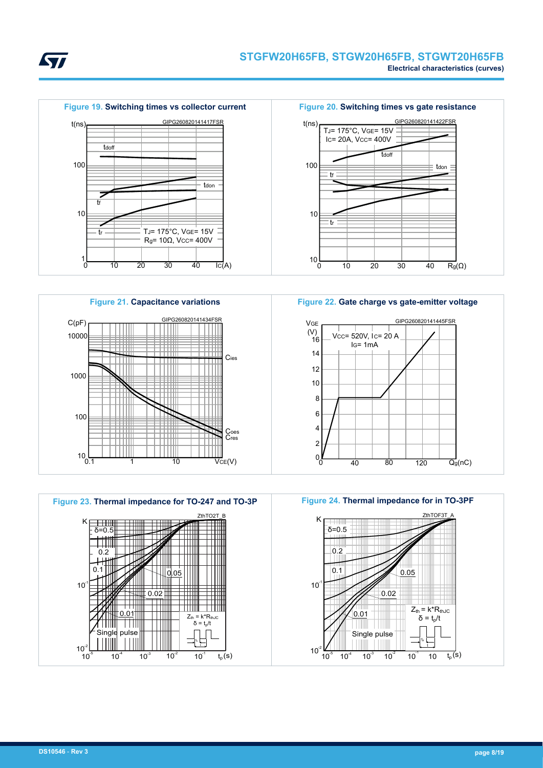





**Figure 22. Gate charge vs gate-emitter voltage**







 $-0.02$ 

 $10$ 

0.05

 $10<sup>7</sup>$ 

10

t t,

 $Z_{\text{th}} = k^*R_{\text{thJC}}$  $δ = t<sub>p</sub>/t$ 



**STI**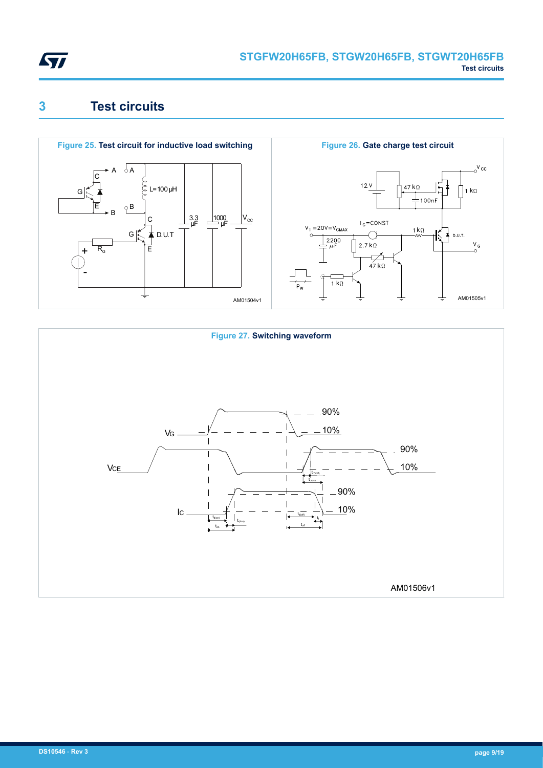<span id="page-8-0"></span>

## **3 Test circuits**





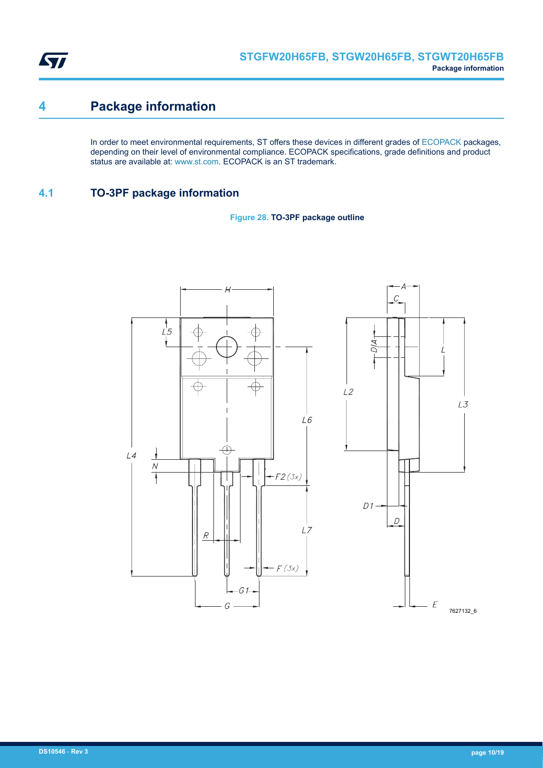<span id="page-9-0"></span>

### **4 Package information**

In order to meet environmental requirements, ST offers these devices in different grades of [ECOPACK](https://www.st.com/ecopack) packages, depending on their level of environmental compliance. ECOPACK specifications, grade definitions and product status are available at: [www.st.com.](http://www.st.com) ECOPACK is an ST trademark.

### **4.1 TO-3PF package information**



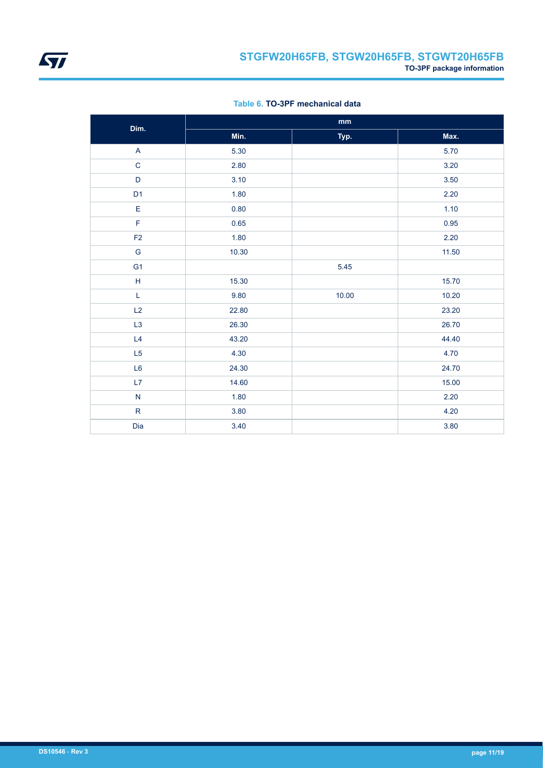

|  |  | Table 6, TO-3PF mechanical data |  |
|--|--|---------------------------------|--|
|--|--|---------------------------------|--|

| Dim.                      | $\mathop{\text{mm}}\nolimits$ |       |          |  |
|---------------------------|-------------------------------|-------|----------|--|
|                           | Min.                          | Typ.  | Max.     |  |
| $\boldsymbol{\mathsf{A}}$ | 5.30                          |       | 5.70     |  |
| $\mathbf C$               | 2.80                          |       | 3.20     |  |
| $\mathsf D$               | 3.10                          |       | $3.50\,$ |  |
| D <sub>1</sub>            | 1.80                          |       | 2.20     |  |
| $\mathsf E$               | 0.80                          |       | 1.10     |  |
| F                         | 0.65                          |       | 0.95     |  |
| F <sub>2</sub>            | 1.80                          |       | 2.20     |  |
| G                         | 10.30                         |       | 11.50    |  |
| G <sub>1</sub>            |                               | 5.45  |          |  |
| $\mathsf H$               | 15.30                         |       | 15.70    |  |
| L                         | 9.80                          | 10.00 | 10.20    |  |
| L2                        | 22.80                         |       | 23.20    |  |
| L <sub>3</sub>            | 26.30                         |       | 26.70    |  |
| L4                        | 43.20                         |       | 44.40    |  |
| L5                        | 4.30                          |       | 4.70     |  |
| L <sub>6</sub>            | 24.30                         |       | 24.70    |  |
| L7                        | 14.60                         |       | 15.00    |  |
| ${\sf N}$                 | 1.80                          |       | 2.20     |  |
| ${\sf R}$                 | 3.80                          |       | 4.20     |  |
| Dia                       | 3.40                          |       | 3.80     |  |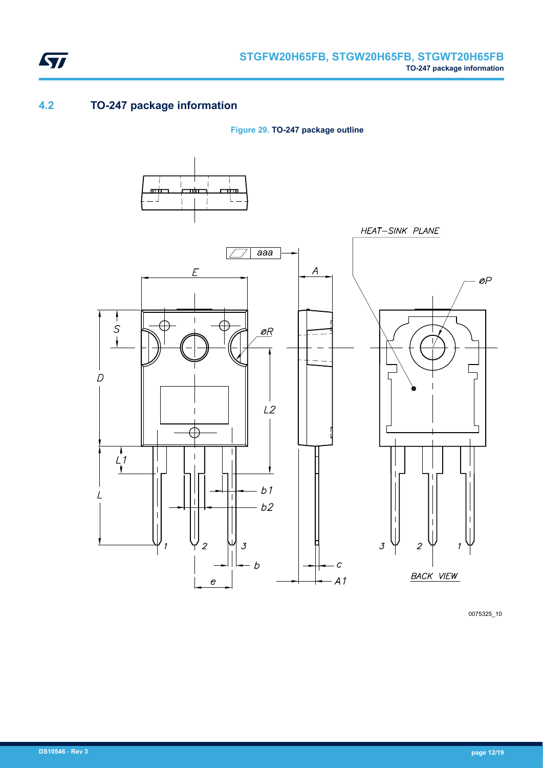<span id="page-11-0"></span>

### **4.2 TO-247 package information**

**Figure 29. TO-247 package outline**



0075325\_10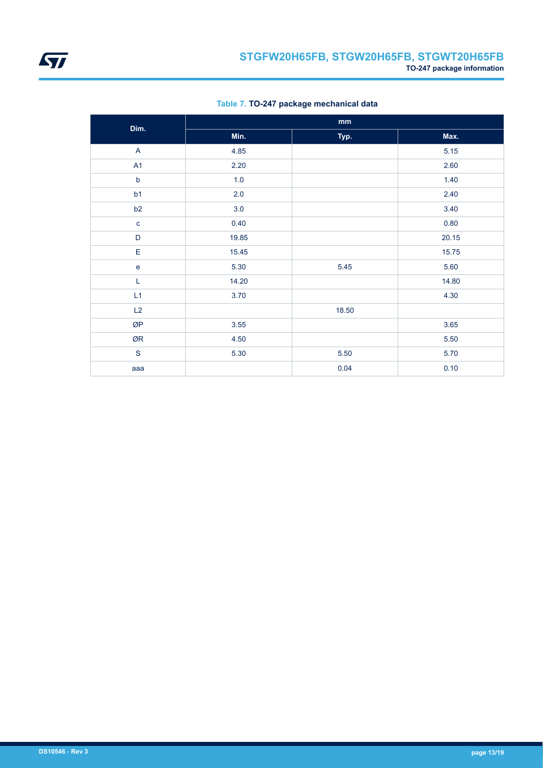

| Dim.           | mm    |       |       |  |  |
|----------------|-------|-------|-------|--|--|
|                | Min.  | Typ.  | Max.  |  |  |
| $\overline{A}$ | 4.85  |       | 5.15  |  |  |
| A1             | 2.20  |       | 2.60  |  |  |
| $\mathsf b$    | 1.0   |       | 1.40  |  |  |
| b1             | 2.0   |       | 2.40  |  |  |
| b2             | 3.0   |       | 3.40  |  |  |
| $\mathbf{C}$   | 0.40  |       | 0.80  |  |  |
| $\mathsf D$    | 19.85 |       | 20.15 |  |  |
| $\mathsf E$    | 15.45 |       | 15.75 |  |  |
| $\mathbf e$    | 5.30  | 5.45  | 5.60  |  |  |
| L              | 14.20 |       | 14.80 |  |  |
| L1             | 3.70  |       | 4.30  |  |  |
| L2             |       | 18.50 |       |  |  |
| ØP             | 3.55  |       | 3.65  |  |  |
| ØR             | 4.50  |       | 5.50  |  |  |
| ${\mathsf S}$  | 5.30  | 5.50  | 5.70  |  |  |
| aaa            |       | 0.04  | 0.10  |  |  |

**Table 7. TO-247 package mechanical data**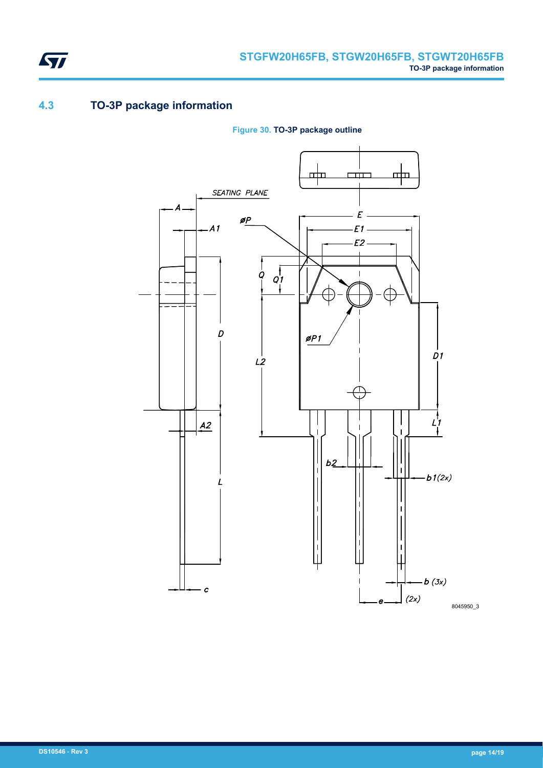### <span id="page-13-0"></span>**4.3 TO-3P package information**



**Figure 30. TO-3P package outline**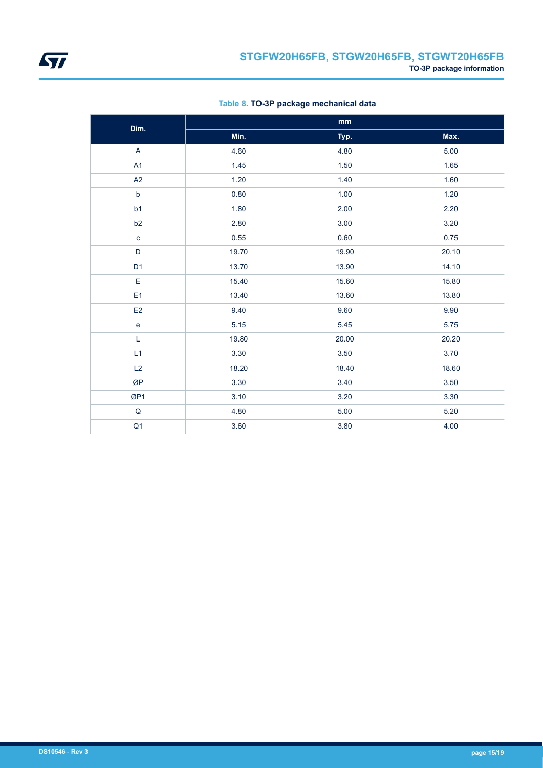

| Dim.                              | mm    |       |       |  |  |
|-----------------------------------|-------|-------|-------|--|--|
|                                   | Min.  | Typ.  | Max.  |  |  |
| A                                 | 4.60  | 4.80  | 5.00  |  |  |
| A1                                | 1.45  | 1.50  | 1.65  |  |  |
| A2                                | 1.20  | 1.40  | 1.60  |  |  |
| $\mathsf b$                       | 0.80  | 1.00  | 1.20  |  |  |
| b <sub>1</sub>                    | 1.80  | 2.00  | 2.20  |  |  |
| b <sub>2</sub>                    | 2.80  | 3.00  | 3.20  |  |  |
| $\mathbf c$                       | 0.55  | 0.60  | 0.75  |  |  |
| D                                 | 19.70 | 19.90 | 20.10 |  |  |
| D <sub>1</sub>                    | 13.70 | 13.90 | 14.10 |  |  |
| E                                 | 15.40 | 15.60 | 15.80 |  |  |
| E1                                | 13.40 | 13.60 | 13.80 |  |  |
| E2                                | 9.40  | 9.60  | 9.90  |  |  |
| $\mathsf{e}% _{t}\left( t\right)$ | 5.15  | 5.45  | 5.75  |  |  |
| L                                 | 19.80 | 20.00 | 20.20 |  |  |
| L1                                | 3.30  | 3.50  | 3.70  |  |  |
| L2                                | 18.20 | 18.40 | 18.60 |  |  |
| ØP                                | 3.30  | 3.40  | 3.50  |  |  |
| ØP1                               | 3.10  | 3.20  | 3.30  |  |  |
| $\mathsf Q$                       | 4.80  | 5.00  | 5.20  |  |  |
| Q <sub>1</sub>                    | 3.60  | 3.80  | 4.00  |  |  |

**Table 8. TO-3P package mechanical data**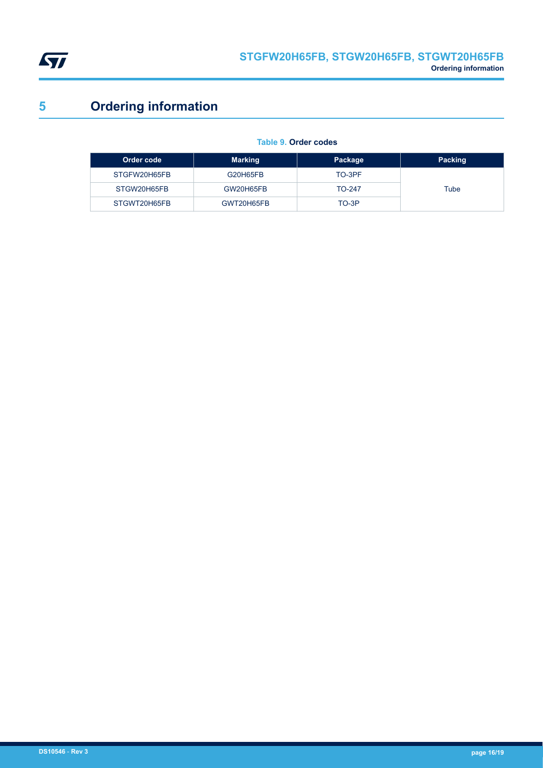<span id="page-15-0"></span>

# **5 Ordering information**

|  | Table 9. Order codes |
|--|----------------------|
|  |                      |

| Order code   | <b>Marking</b> | Package       | <b>Packing</b> |
|--------------|----------------|---------------|----------------|
| STGFW20H65FB | G20H65FB       | TO-3PF        |                |
| STGW20H65FB  | GW20H65FB      | <b>TO-247</b> | Tube           |
| STGWT20H65FB | GWT20H65FB     | TO-3P         |                |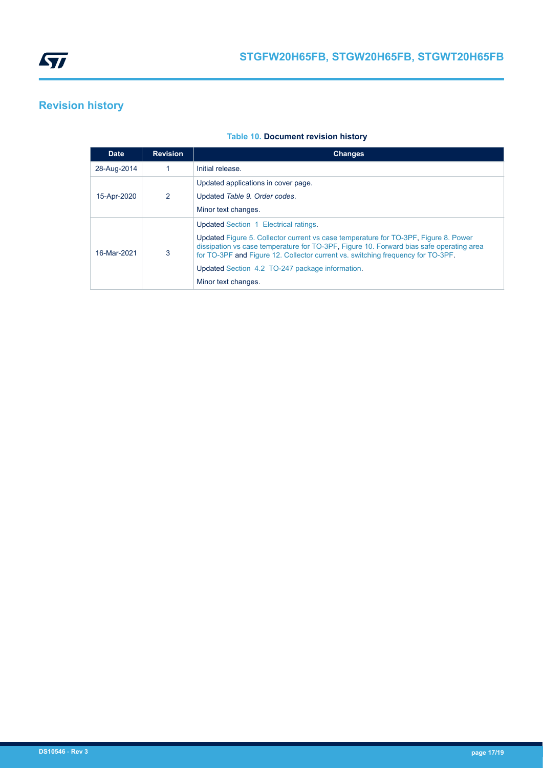<span id="page-16-0"></span>

# **Revision history**

### **Table 10. Document revision history**

| <b>Date</b> | <b>Revision</b> | <b>Changes</b>                                                                                                                                                                                                                                                    |
|-------------|-----------------|-------------------------------------------------------------------------------------------------------------------------------------------------------------------------------------------------------------------------------------------------------------------|
| 28-Aug-2014 |                 | Initial release.                                                                                                                                                                                                                                                  |
| 15-Apr-2020 | 2               | Updated applications in cover page.                                                                                                                                                                                                                               |
|             |                 | Updated Table 9. Order codes.                                                                                                                                                                                                                                     |
|             |                 | Minor text changes.                                                                                                                                                                                                                                               |
| 16-Mar-2021 | 3               | Updated Section 1 Electrical ratings.                                                                                                                                                                                                                             |
|             |                 | Updated Figure 5. Collector current vs case temperature for TO-3PF, Figure 8. Power<br>dissipation vs case temperature for TO-3PF. Figure 10. Forward bias safe operating area<br>for TO-3PF and Figure 12. Collector current vs. switching frequency for TO-3PF. |
|             |                 | Updated Section 4.2 TO-247 package information.                                                                                                                                                                                                                   |
|             |                 | Minor text changes.                                                                                                                                                                                                                                               |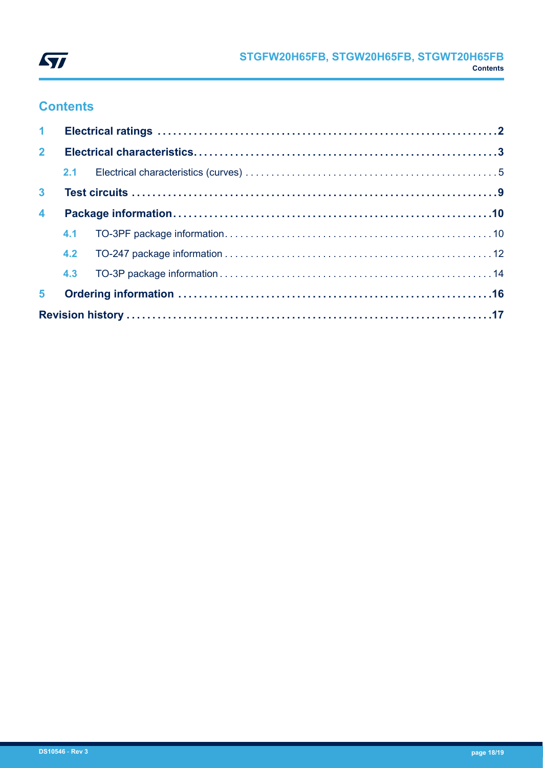

### **Contents**

| 1 <sup>1</sup>       |  |  |  |  |  |
|----------------------|--|--|--|--|--|
| 2 <sup>7</sup>       |  |  |  |  |  |
|                      |  |  |  |  |  |
| 3 <sup>1</sup>       |  |  |  |  |  |
| $\blacktriangleleft$ |  |  |  |  |  |
|                      |  |  |  |  |  |
|                      |  |  |  |  |  |
|                      |  |  |  |  |  |
| 5 <sup>1</sup>       |  |  |  |  |  |
|                      |  |  |  |  |  |